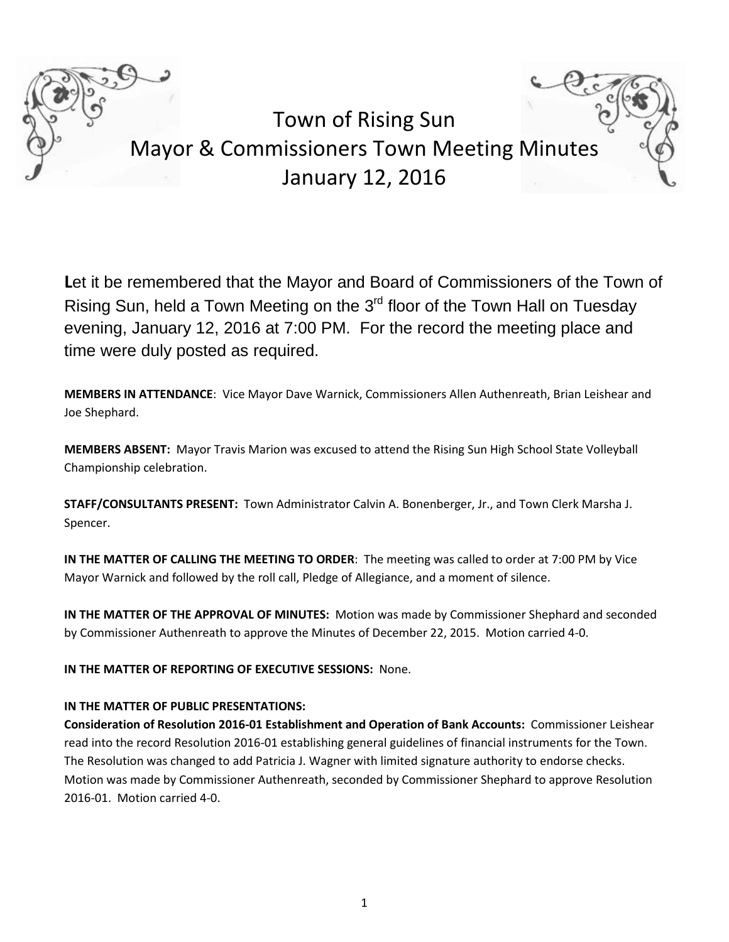

Town of Rising Sun Mayor & Commissioners Town Meeting Minutes January 12, 2016

Let it be remembered that the Mayor and Board of Commissioners of the Town of Rising Sun, held a Town Meeting on the 3<sup>rd</sup> floor of the Town Hall on Tuesday evening, January 12, 2016 at 7:00 PM. For the record the meeting place and time were duly posted as required.

**MEMBERS IN ATTENDANCE**: Vice Mayor Dave Warnick, Commissioners Allen Authenreath, Brian Leishear and Joe Shephard.

**MEMBERS ABSENT:** Mayor Travis Marion was excused to attend the Rising Sun High School State Volleyball Championship celebration.

**STAFF/CONSULTANTS PRESENT:** Town Administrator Calvin A. Bonenberger, Jr., and Town Clerk Marsha J. Spencer.

**IN THE MATTER OF CALLING THE MEETING TO ORDER**: The meeting was called to order at 7:00 PM by Vice Mayor Warnick and followed by the roll call, Pledge of Allegiance, and a moment of silence.

**IN THE MATTER OF THE APPROVAL OF MINUTES:** Motion was made by Commissioner Shephard and seconded by Commissioner Authenreath to approve the Minutes of December 22, 2015. Motion carried 4-0.

**IN THE MATTER OF REPORTING OF EXECUTIVE SESSIONS:** None.

### **IN THE MATTER OF PUBLIC PRESENTATIONS:**

**Consideration of Resolution 2016-01 Establishment and Operation of Bank Accounts:** Commissioner Leishear read into the record Resolution 2016-01 establishing general guidelines of financial instruments for the Town. The Resolution was changed to add Patricia J. Wagner with limited signature authority to endorse checks. Motion was made by Commissioner Authenreath, seconded by Commissioner Shephard to approve Resolution 2016-01. Motion carried 4-0.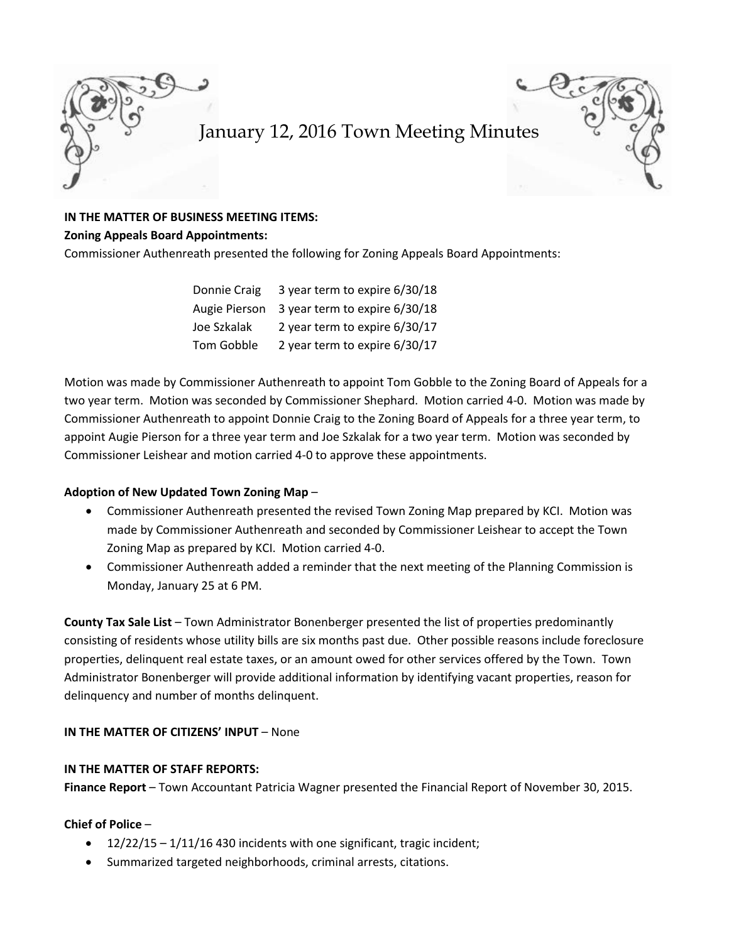



### **IN THE MATTER OF BUSINESS MEETING ITEMS:**

#### **Zoning Appeals Board Appointments:**

Commissioner Authenreath presented the following for Zoning Appeals Board Appointments:

| Donnie Craig  | 3 year term to expire 6/30/18 |
|---------------|-------------------------------|
| Augie Pierson | 3 year term to expire 6/30/18 |
| Joe Szkalak   | 2 year term to expire 6/30/17 |
| Tom Gobble    | 2 year term to expire 6/30/17 |

Motion was made by Commissioner Authenreath to appoint Tom Gobble to the Zoning Board of Appeals for a two year term. Motion was seconded by Commissioner Shephard. Motion carried 4-0. Motion was made by Commissioner Authenreath to appoint Donnie Craig to the Zoning Board of Appeals for a three year term, to appoint Augie Pierson for a three year term and Joe Szkalak for a two year term. Motion was seconded by Commissioner Leishear and motion carried 4-0 to approve these appointments.

#### **Adoption of New Updated Town Zoning Map** –

- Commissioner Authenreath presented the revised Town Zoning Map prepared by KCI. Motion was made by Commissioner Authenreath and seconded by Commissioner Leishear to accept the Town Zoning Map as prepared by KCI. Motion carried 4-0.
- Commissioner Authenreath added a reminder that the next meeting of the Planning Commission is Monday, January 25 at 6 PM.

**County Tax Sale List** – Town Administrator Bonenberger presented the list of properties predominantly consisting of residents whose utility bills are six months past due. Other possible reasons include foreclosure properties, delinquent real estate taxes, or an amount owed for other services offered by the Town. Town Administrator Bonenberger will provide additional information by identifying vacant properties, reason for delinquency and number of months delinquent.

### **IN THE MATTER OF CITIZENS' INPUT** – None

#### **IN THE MATTER OF STAFF REPORTS:**

**Finance Report** – Town Accountant Patricia Wagner presented the Financial Report of November 30, 2015.

### **Chief of Police** –

- 12/22/15 1/11/16 430 incidents with one significant, tragic incident;
- Summarized targeted neighborhoods, criminal arrests, citations.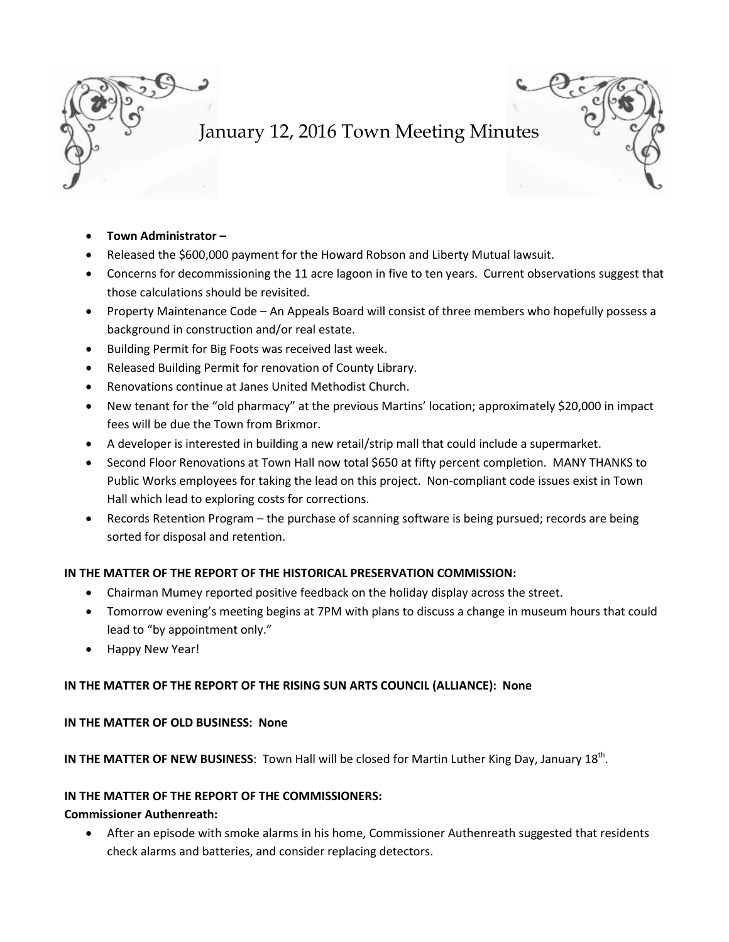

- **Town Administrator –**
- Released the \$600,000 payment for the Howard Robson and Liberty Mutual lawsuit.
- Concerns for decommissioning the 11 acre lagoon in five to ten years. Current observations suggest that those calculations should be revisited.
- Property Maintenance Code An Appeals Board will consist of three members who hopefully possess a background in construction and/or real estate.
- Building Permit for Big Foots was received last week.
- Released Building Permit for renovation of County Library.
- Renovations continue at Janes United Methodist Church.
- New tenant for the "old pharmacy" at the previous Martins' location; approximately \$20,000 in impact fees will be due the Town from Brixmor.
- A developer is interested in building a new retail/strip mall that could include a supermarket.
- Second Floor Renovations at Town Hall now total \$650 at fifty percent completion. MANY THANKS to Public Works employees for taking the lead on this project. Non-compliant code issues exist in Town Hall which lead to exploring costs for corrections.
- Records Retention Program the purchase of scanning software is being pursued; records are being sorted for disposal and retention.

### **IN THE MATTER OF THE REPORT OF THE HISTORICAL PRESERVATION COMMISSION:**

- Chairman Mumey reported positive feedback on the holiday display across the street.
- Tomorrow evening's meeting begins at 7PM with plans to discuss a change in museum hours that could lead to "by appointment only."
- Happy New Year!

### **IN THE MATTER OF THE REPORT OF THE RISING SUN ARTS COUNCIL (ALLIANCE): None**

### **IN THE MATTER OF OLD BUSINESS: None**

**IN THE MATTER OF NEW BUSINESS:** Town Hall will be closed for Martin Luther King Day, January 18<sup>th</sup>.

### **IN THE MATTER OF THE REPORT OF THE COMMISSIONERS:**

### **Commissioner Authenreath:**

• After an episode with smoke alarms in his home, Commissioner Authenreath suggested that residents check alarms and batteries, and consider replacing detectors.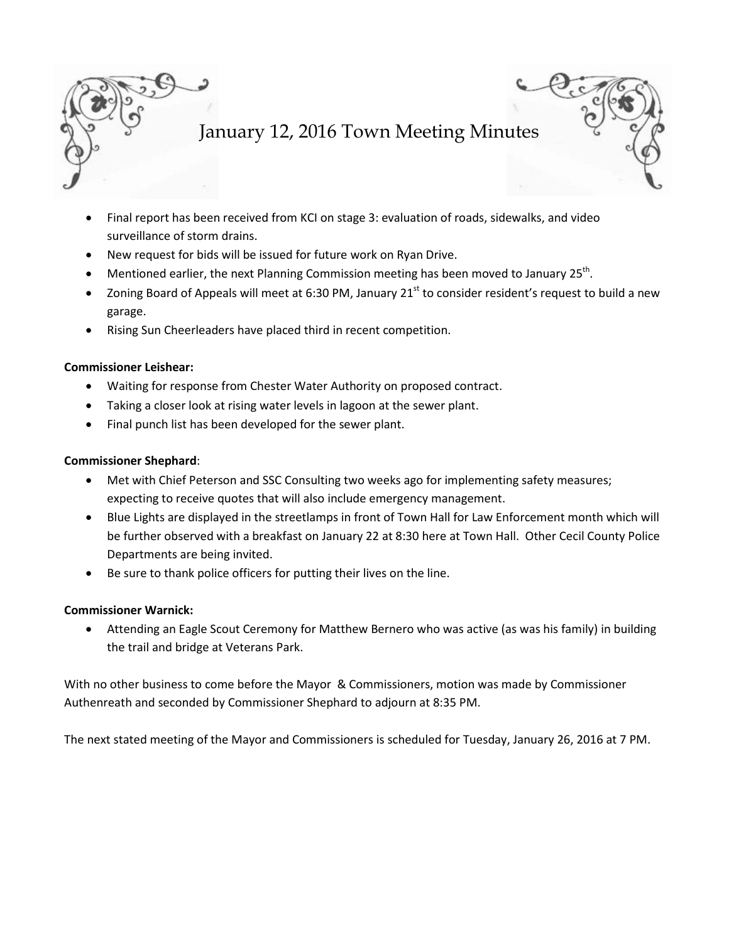

- Final report has been received from KCI on stage 3: evaluation of roads, sidewalks, and video surveillance of storm drains.
- New request for bids will be issued for future work on Ryan Drive.
- Mentioned earlier, the next Planning Commission meeting has been moved to January 25<sup>th</sup>.
- Zoning Board of Appeals will meet at 6:30 PM, January  $21<sup>st</sup>$  to consider resident's request to build a new garage.
- Rising Sun Cheerleaders have placed third in recent competition.

### **Commissioner Leishear:**

- Waiting for response from Chester Water Authority on proposed contract.
- Taking a closer look at rising water levels in lagoon at the sewer plant.
- Final punch list has been developed for the sewer plant.

### **Commissioner Shephard**:

- Met with Chief Peterson and SSC Consulting two weeks ago for implementing safety measures; expecting to receive quotes that will also include emergency management.
- Blue Lights are displayed in the streetlamps in front of Town Hall for Law Enforcement month which will be further observed with a breakfast on January 22 at 8:30 here at Town Hall. Other Cecil County Police Departments are being invited.
- Be sure to thank police officers for putting their lives on the line.

### **Commissioner Warnick:**

• Attending an Eagle Scout Ceremony for Matthew Bernero who was active (as was his family) in building the trail and bridge at Veterans Park.

With no other business to come before the Mayor & Commissioners, motion was made by Commissioner Authenreath and seconded by Commissioner Shephard to adjourn at 8:35 PM.

The next stated meeting of the Mayor and Commissioners is scheduled for Tuesday, January 26, 2016 at 7 PM.